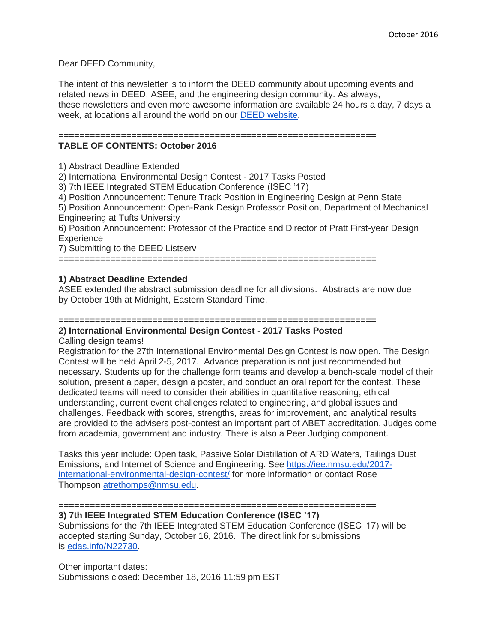Dear DEED Community,

The intent of this newsletter is to inform the DEED community about upcoming events and related news in DEED, ASEE, and the engineering design community. As always, these newsletters and even more awesome information are available 24 hours a day, 7 days a week, at locations all around the world on our [DEED website.](http://deed.asee.org/)

=============================================================

## **TABLE OF CONTENTS: October 2016**

1) Abstract Deadline Extended

2) International Environmental Design Contest - 2017 Tasks Posted

3) 7th IEEE Integrated STEM Education Conference (ISEC '17)

4) Position Announcement: Tenure Track Position in Engineering Design at Penn State

5) Position Announcement: Open-Rank Design Professor Position, Department of Mechanical Engineering at Tufts University

6) Position Announcement: Professor of the Practice and Director of Pratt First-year Design **Experience** 

7) Submitting to the DEED Listserv

=============================================================

# **1) Abstract Deadline Extended**

ASEE extended the abstract submission deadline for all divisions. Abstracts are now due by October 19th at Midnight, Eastern Standard Time.

#### ============================================================= **2) International Environmental Design Contest - 2017 Tasks Posted**

Calling design teams!

Registration for the 27th International Environmental Design Contest is now open. The Design Contest will be held April 2-5, 2017. Advance preparation is not just recommended but necessary. Students up for the challenge form teams and develop a bench-scale model of their solution, present a paper, design a poster, and conduct an oral report for the contest. These dedicated teams will need to consider their abilities in quantitative reasoning, ethical understanding, current event challenges related to engineering, and global issues and challenges. Feedback with scores, strengths, areas for improvement, and analytical results are provided to the advisers post-contest an important part of ABET accreditation. Judges come from academia, government and industry. There is also a Peer Judging component.

Tasks this year include: Open task, Passive Solar Distillation of ARD Waters, Tailings Dust Emissions, and Internet of Science and Engineering. See [https://iee.nmsu.edu/2017](https://iee.nmsu.edu/2017-international-environmental-design-contest/) [international-environmental-design-contest/](https://iee.nmsu.edu/2017-international-environmental-design-contest/) for more information or contact Rose Thompson [atrethomps@nmsu.edu.](mailto:atrethomps@nmsu.edu)

=============================================================

**3) 7th IEEE Integrated STEM Education Conference (ISEC '17)** Submissions for the 7th IEEE Integrated STEM Education Conference (ISEC '17) will be accepted starting Sunday, October 16, 2016. The direct link for submissions is [edas.info/N22730.](http://edas.info/N22730)

Other important dates: Submissions closed: December 18, 2016 11:59 pm EST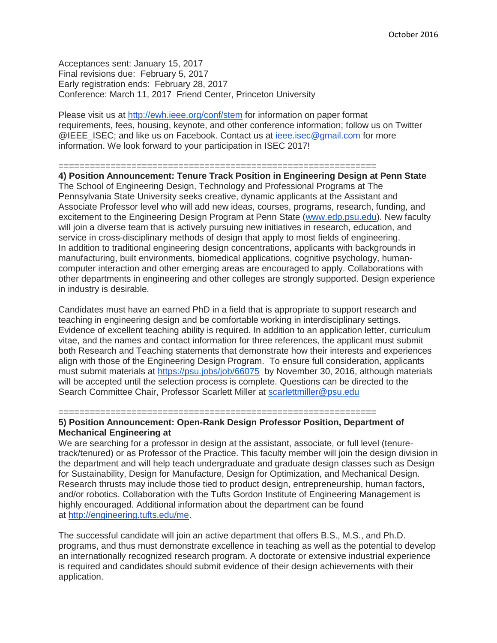Acceptances sent: January 15, 2017 Final revisions due: February 5, 2017 Early registration ends: February 28, 2017 Conference: March 11, 2017 Friend Center, Princeton University

Please visit us at <http://ewh.ieee.org/conf/stem> for information on paper format requirements, fees, housing, keynote, and other conference information; follow us on Twitter @IEEE\_ISEC; and like us on Facebook. Contact us at [ieee.isec@gmail.com](mailto:ieee.isec@gmail.com) for more information. We look forward to your participation in ISEC 2017!

#### =============================================================

**4) Position Announcement: Tenure Track Position in Engineering Design at Penn State** The School of Engineering Design, Technology and Professional Programs at The Pennsylvania State University seeks creative, dynamic applicants at the Assistant and Associate Professor level who will add new ideas, courses, programs, research, funding, and excitement to the Engineering Design Program at Penn State [\(www.edp.psu.edu\)](http://www.edp.psu.edu/). New faculty will join a diverse team that is actively pursuing new initiatives in research, education, and service in cross-disciplinary methods of design that apply to most fields of engineering. In addition to traditional engineering design concentrations, applicants with backgrounds in manufacturing, built environments, biomedical applications, cognitive psychology, humancomputer interaction and other emerging areas are encouraged to apply. Collaborations with other departments in engineering and other colleges are strongly supported. Design experience in industry is desirable.

Candidates must have an earned PhD in a field that is appropriate to support research and teaching in engineering design and be comfortable working in interdisciplinary settings. Evidence of excellent teaching ability is required. In addition to an application letter, curriculum vitae, and the names and contact information for three references, the applicant must submit both Research and Teaching statements that demonstrate how their interests and experiences align with those of the Engineering Design Program. To ensure full consideration, applicants must submit materials at <https://psu.jobs/job/66075> by November 30, 2016, although materials will be accepted until the selection process is complete. Questions can be directed to the Search Committee Chair, Professor Scarlett Miller at [scarlettmiller@psu.edu](mailto:scarlettmiller@psu.edu)

#### =============================================================

## **5) Position Announcement: Open-Rank Design Professor Position, Department of Mechanical Engineering at**

We are searching for a professor in design at the assistant, associate, or full level (tenuretrack/tenured) or as Professor of the Practice. This faculty member will join the design division in the department and will help teach undergraduate and graduate design classes such as Design for Sustainability, Design for Manufacture, Design for Optimization, and Mechanical Design. Research thrusts may include those tied to product design, entrepreneurship, human factors, and/or robotics. Collaboration with the Tufts Gordon Institute of Engineering Management is highly encouraged. Additional information about the department can be found at [http://engineering.tufts.edu/me.](http://engineering.tufts.edu/me)

The successful candidate will join an active department that offers B.S., M.S., and Ph.D. programs, and thus must demonstrate excellence in teaching as well as the potential to develop an internationally recognized research program. A doctorate or extensive industrial experience is required and candidates should submit evidence of their design achievements with their application.